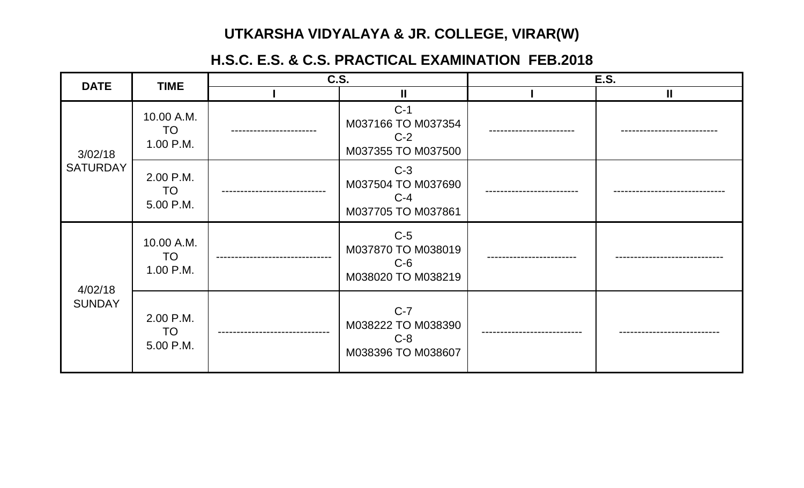## **UTKARSHA VIDYALAYA & JR. COLLEGE, VIRAR(W)**

## **H.S.C. E.S. & C.S. PRACTICAL EXAMINATION FEB.2018**

| <b>DATE</b>                | <b>TIME</b>                          | C.S. |                                                            | <b>E.S.</b> |              |
|----------------------------|--------------------------------------|------|------------------------------------------------------------|-------------|--------------|
|                            |                                      |      | $\mathbf{I}$                                               |             | $\mathbf{I}$ |
| 3/02/18<br><b>SATURDAY</b> | 10.00 A.M.<br>TO<br>1.00 P.M.        |      | $C-1$<br>M037166 TO M037354<br>$C-2$<br>M037355 TO M037500 |             |              |
|                            | 2.00 P.M.<br>TO<br>5.00 P.M.         |      | $C-3$<br>M037504 TO M037690<br>$C-4$<br>M037705 TO M037861 |             |              |
| 4/02/18<br><b>SUNDAY</b>   | 10.00 A.M.<br><b>TO</b><br>1.00 P.M. |      | $C-5$<br>M037870 TO M038019<br>$C-6$<br>M038020 TO M038219 |             |              |
|                            | 2.00 P.M.<br>TO<br>5.00 P.M.         |      | $C-7$<br>M038222 TO M038390<br>$C-8$<br>M038396 TO M038607 |             |              |